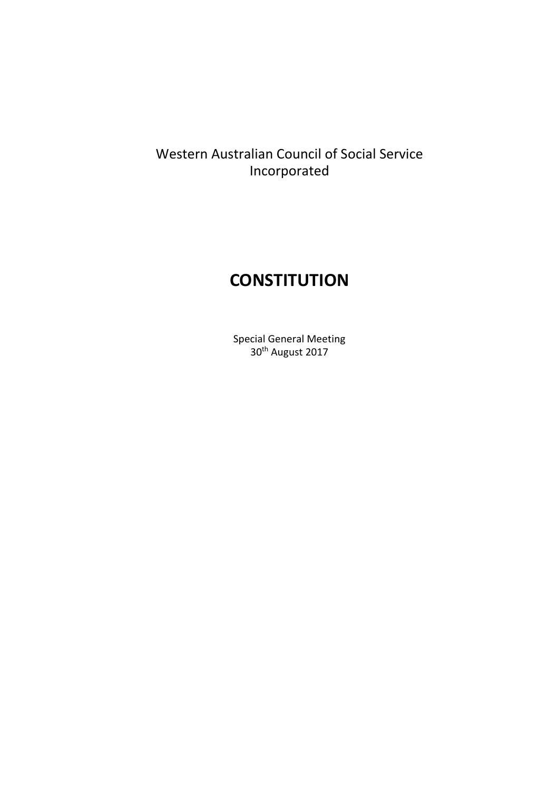# Western Australian Council of Social Service Incorporated

# **CONSTITUTION**

Special General Meeting 30<sup>th</sup> August 2017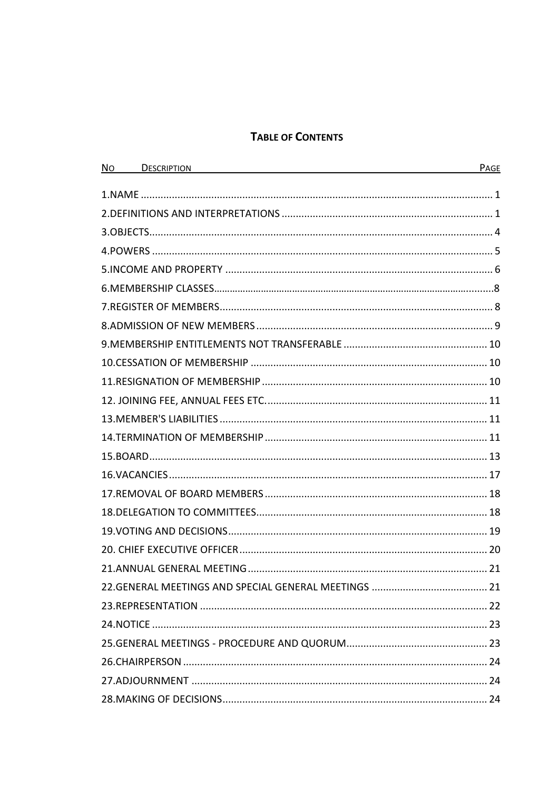# **TABLE OF CONTENTS**

| N <sub>o</sub> | <b>DESCRIPTION</b> | PAGE |
|----------------|--------------------|------|
|                |                    |      |
|                |                    |      |
|                |                    |      |
|                |                    |      |
|                |                    |      |
|                |                    |      |
|                |                    |      |
|                |                    |      |
|                |                    |      |
|                |                    |      |
|                |                    |      |
|                |                    |      |
|                |                    |      |
|                |                    |      |
|                |                    |      |
|                |                    |      |
|                |                    |      |
|                |                    |      |
|                |                    |      |
|                |                    |      |
|                |                    |      |
|                |                    |      |
|                |                    |      |
|                |                    |      |
|                |                    |      |
|                |                    |      |
|                |                    |      |
|                |                    |      |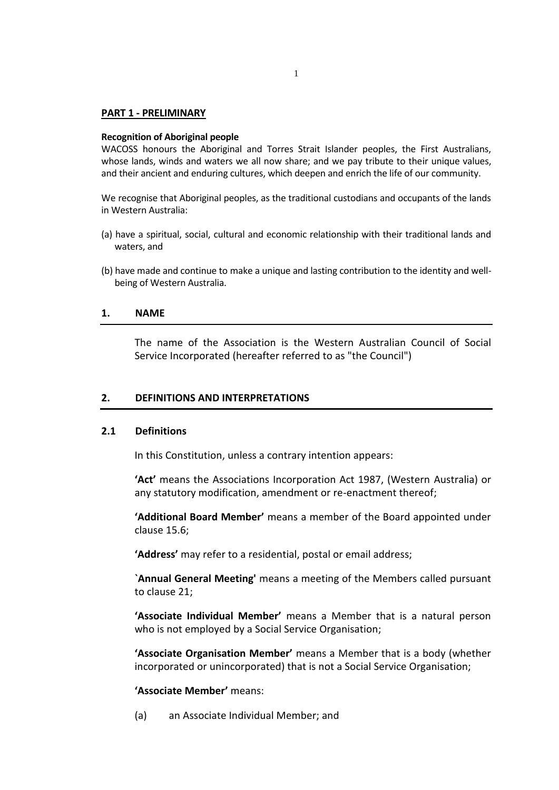#### **PART 1 - PRELIMINARY**

#### **Recognition of Aboriginal people**

WACOSS honours the Aboriginal and Torres Strait Islander peoples, the First Australians, whose lands, winds and waters we all now share; and we pay tribute to their unique values, and their ancient and enduring cultures, which deepen and enrich the life of our community.

We recognise that Aboriginal peoples, as the traditional custodians and occupants of the lands in Western Australia:

- (a) have a spiritual, social, cultural and economic relationship with their traditional lands and waters, and
- (b) have made and continue to make a unique and lasting contribution to the identity and wellbeing of Western Australia.

#### **1. NAME**

The name of the Association is the Western Australian Council of Social Service Incorporated (hereafter referred to as "the Council")

### **2. DEFINITIONS AND INTERPRETATIONS**

#### **2.1 Definitions**

In this Constitution, unless a contrary intention appears:

**'Act'** means the Associations Incorporation Act 1987, (Western Australia) or any statutory modification, amendment or re-enactment thereof;

**'Additional Board Member'** means a member of the Board appointed under clause 15.6;

**'Address'** may refer to a residential, postal or email address;

**`Annual General Meeting'** means a meeting of the Members called pursuant to clause 21;

**'Associate Individual Member'** means a Member that is a natural person who is not employed by a Social Service Organisation;

**'Associate Organisation Member'** means a Member that is a body (whether incorporated or unincorporated) that is not a Social Service Organisation;

#### **'Associate Member'** means:

(a) an Associate Individual Member; and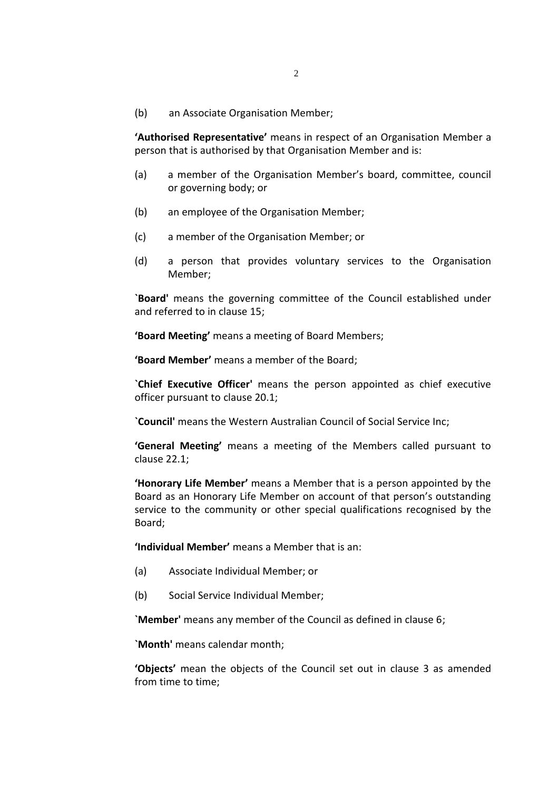(b) an Associate Organisation Member;

**'Authorised Representative'** means in respect of an Organisation Member a person that is authorised by that Organisation Member and is:

- (a) a member of the Organisation Member's board, committee, council or governing body; or
- (b) an employee of the Organisation Member;
- (c) a member of the Organisation Member; or
- (d) a person that provides voluntary services to the Organisation Member;

**`Board'** means the governing committee of the Council established under and referred to in clause 15;

**'Board Meeting'** means a meeting of Board Members;

**'Board Member'** means a member of the Board;

**`Chief Executive Officer'** means the person appointed as chief executive officer pursuant to clause 20.1;

**`Council'** means the Western Australian Council of Social Service Inc;

**'General Meeting'** means a meeting of the Members called pursuant to clause 22.1;

**'Honorary Life Member'** means a Member that is a person appointed by the Board as an Honorary Life Member on account of that person's outstanding service to the community or other special qualifications recognised by the Board;

**'Individual Member'** means a Member that is an:

- (a) Associate Individual Member; or
- (b) Social Service Individual Member;

**`Member'** means any member of the Council as defined in clause 6;

**`Month'** means calendar month;

**'Objects'** mean the objects of the Council set out in clause 3 as amended from time to time;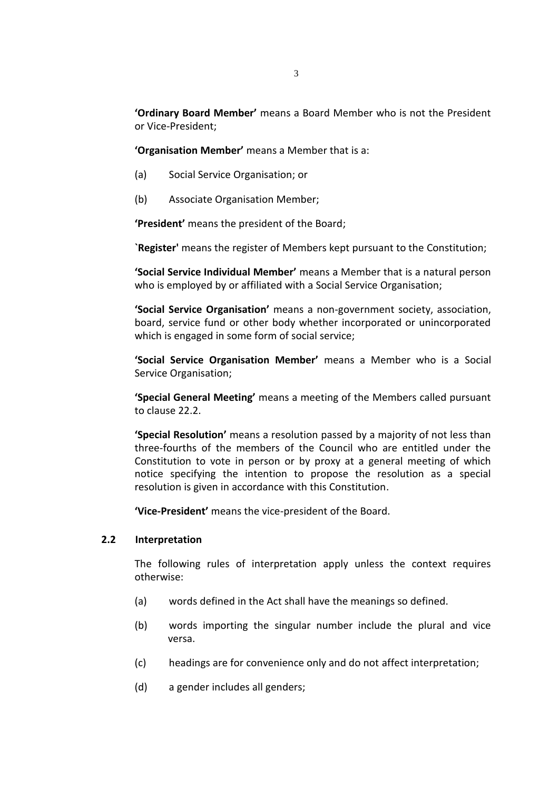**'Ordinary Board Member'** means a Board Member who is not the President or Vice-President;

**'Organisation Member'** means a Member that is a:

- (a) Social Service Organisation; or
- (b) Associate Organisation Member;

**'President'** means the president of the Board;

**`Register'** means the register of Members kept pursuant to the Constitution;

**'Social Service Individual Member'** means a Member that is a natural person who is employed by or affiliated with a Social Service Organisation;

**'Social Service Organisation'** means a non-government society, association, board, service fund or other body whether incorporated or unincorporated which is engaged in some form of social service;

**'Social Service Organisation Member'** means a Member who is a Social Service Organisation;

**'Special General Meeting'** means a meeting of the Members called pursuant to clause 22.2.

**'Special Resolution'** means a resolution passed by a majority of not less than three-fourths of the members of the Council who are entitled under the Constitution to vote in person or by proxy at a general meeting of which notice specifying the intention to propose the resolution as a special resolution is given in accordance with this Constitution.

**'Vice-President'** means the vice-president of the Board.

#### **2.2 Interpretation**

The following rules of interpretation apply unless the context requires otherwise:

- (a) words defined in the Act shall have the meanings so defined.
- (b) words importing the singular number include the plural and vice versa.
- (c) headings are for convenience only and do not affect interpretation;
- (d) a gender includes all genders;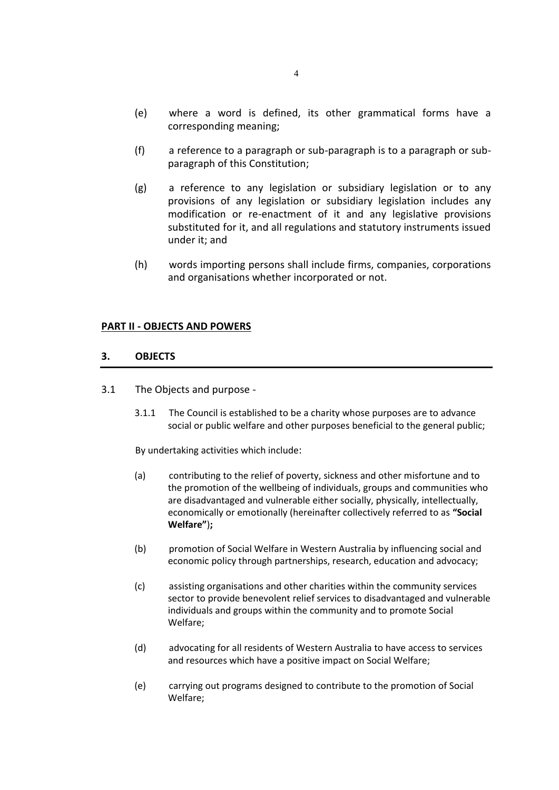- (e) where a word is defined, its other grammatical forms have a corresponding meaning;
- (f) a reference to a paragraph or sub-paragraph is to a paragraph or subparagraph of this Constitution;
- (g) a reference to any legislation or subsidiary legislation or to any provisions of any legislation or subsidiary legislation includes any modification or re-enactment of it and any legislative provisions substituted for it, and all regulations and statutory instruments issued under it; and
- (h) words importing persons shall include firms, companies, corporations and organisations whether incorporated or not.

#### **PART II - OBJECTS AND POWERS**

#### **3. OBJECTS**

- 3.1 The Objects and purpose
	- 3.1.1 The Council is established to be a charity whose purposes are to advance social or public welfare and other purposes beneficial to the general public;

By undertaking activities which include:

- (a) contributing to the relief of poverty, sickness and other misfortune and to the promotion of the wellbeing of individuals, groups and communities who are disadvantaged and vulnerable either socially, physically, intellectually, economically or emotionally (hereinafter collectively referred to as **"Social Welfare"**)**;**
- (b) promotion of Social Welfare in Western Australia by influencing social and economic policy through partnerships, research, education and advocacy;
- (c) assisting organisations and other charities within the community services sector to provide benevolent relief services to disadvantaged and vulnerable individuals and groups within the community and to promote Social Welfare;
- (d) advocating for all residents of Western Australia to have access to services and resources which have a positive impact on Social Welfare;
- (e) carrying out programs designed to contribute to the promotion of Social Welfare;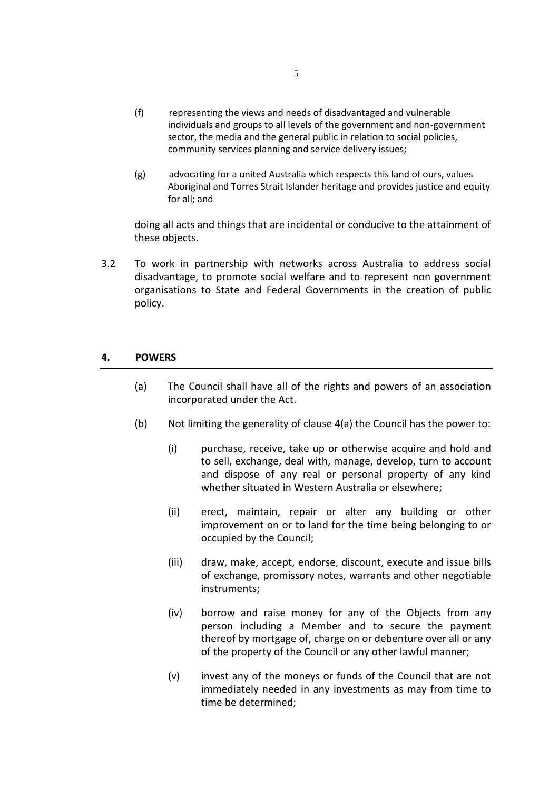- (f) representing the views and needs of disadvantaged and vulnerable individuals and groups to all levels of the government and non-government sector, the media and the general public in relation to social policies, community services planning and service delivery issues;
- (g) advocating for a united Australia which respects this land of ours, values Aboriginal and Torres Strait Islander heritage and provides justice and equity for all; and

doing all acts and things that are incidental or conducive to the attainment of these objects.

3.2 To work in partnership with networks across Australia to address social disadvantage, to promote social welfare and to represent non government organisations to State and Federal Governments in the creation of public policy.

#### **4. POWERS**

- (a) The Council shall have all of the rights and powers of an association incorporated under the Act.
- (b) Not limiting the generality of clause  $4(a)$  the Council has the power to:
	- (i) purchase, receive, take up or otherwise acquire and hold and to sell, exchange, deal with, manage, develop, turn to account and dispose of any real or personal property of any kind whether situated in Western Australia or elsewhere;
	- (ii) erect, maintain, repair or alter any building or other improvement on or to land for the time being belonging to or occupied by the Council;
	- (iii) draw, make, accept, endorse, discount, execute and issue bills of exchange, promissory notes, warrants and other negotiable instruments;
	- (iv) borrow and raise money for any of the Objects from any person including a Member and to secure the payment thereof by mortgage of, charge on or debenture over all or any of the property of the Council or any other lawful manner;
	- (v) invest any of the moneys or funds of the Council that are not immediately needed in any investments as may from time to time be determined;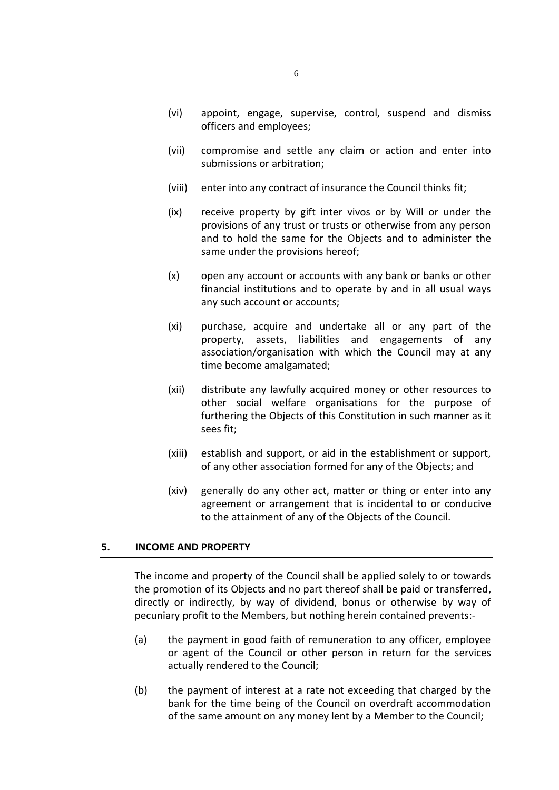- (vi) appoint, engage, supervise, control, suspend and dismiss officers and employees;
- (vii) compromise and settle any claim or action and enter into submissions or arbitration;
- (viii) enter into any contract of insurance the Council thinks fit;
- (ix) receive property by gift inter vivos or by Will or under the provisions of any trust or trusts or otherwise from any person and to hold the same for the Objects and to administer the same under the provisions hereof;
- (x) open any account or accounts with any bank or banks or other financial institutions and to operate by and in all usual ways any such account or accounts;
- (xi) purchase, acquire and undertake all or any part of the property, assets, liabilities and engagements of any association/organisation with which the Council may at any time become amalgamated;
- (xii) distribute any lawfully acquired money or other resources to other social welfare organisations for the purpose of furthering the Objects of this Constitution in such manner as it sees fit;
- (xiii) establish and support, or aid in the establishment or support, of any other association formed for any of the Objects; and
- (xiv) generally do any other act, matter or thing or enter into any agreement or arrangement that is incidental to or conducive to the attainment of any of the Objects of the Council.

#### **5. INCOME AND PROPERTY**

The income and property of the Council shall be applied solely to or towards the promotion of its Objects and no part thereof shall be paid or transferred, directly or indirectly, by way of dividend, bonus or otherwise by way of pecuniary profit to the Members, but nothing herein contained prevents:-

- (a) the payment in good faith of remuneration to any officer, employee or agent of the Council or other person in return for the services actually rendered to the Council;
- (b) the payment of interest at a rate not exceeding that charged by the bank for the time being of the Council on overdraft accommodation of the same amount on any money lent by a Member to the Council;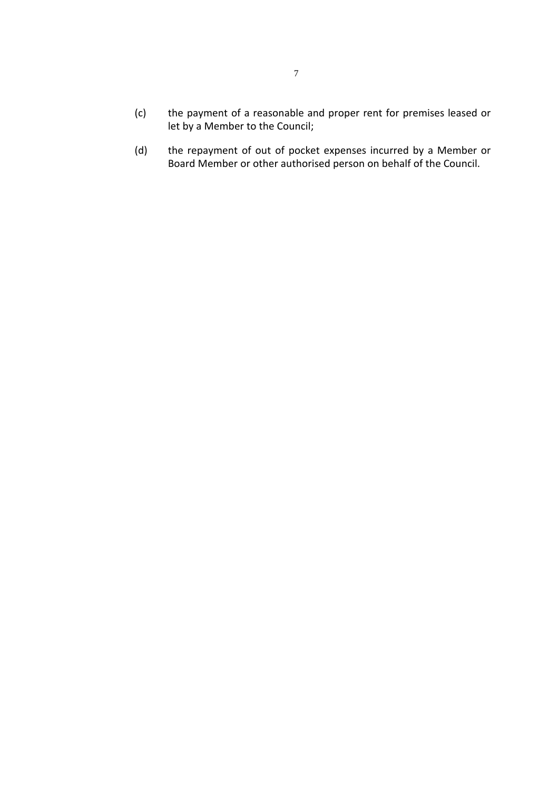- (c) the payment of a reasonable and proper rent for premises leased or let by a Member to the Council;
- (d) the repayment of out of pocket expenses incurred by a Member or Board Member or other authorised person on behalf of the Council.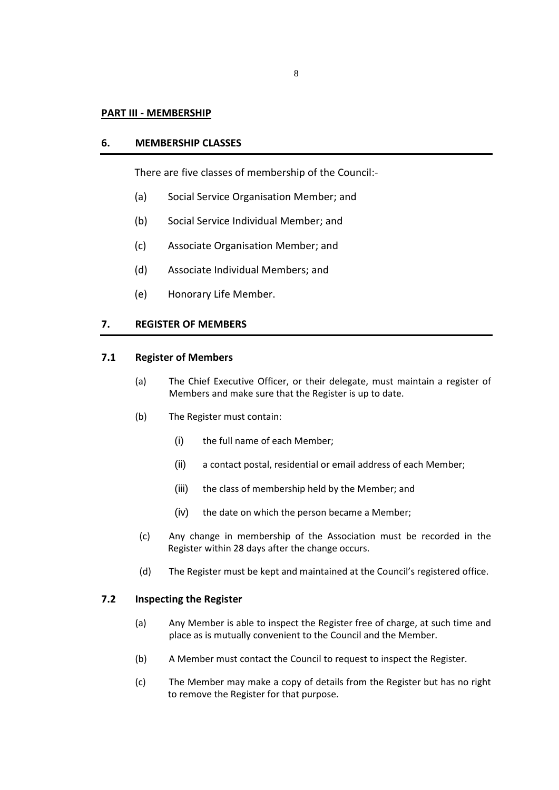#### **PART III - MEMBERSHIP**

#### **6. MEMBERSHIP CLASSES**

There are five classes of membership of the Council:-

- (a) Social Service Organisation Member; and
- (b) Social Service Individual Member; and
- (c) Associate Organisation Member; and
- (d) Associate Individual Members; and
- (e) Honorary Life Member.

#### **7. REGISTER OF MEMBERS**

# **7.1 Register of Members**

- (a) The Chief Executive Officer, or their delegate, must maintain a register of Members and make sure that the Register is up to date.
- (b) The Register must contain:
	- (i) the full name of each Member;
	- (ii) a contact postal, residential or email address of each Member;
	- (iii) the class of membership held by the Member; and
	- (iv) the date on which the person became a Member;
- (c) Any change in membership of the Association must be recorded in the Register within 28 days after the change occurs.
- (d) The Register must be kept and maintained at the Council's registered office.

#### **7.2 Inspecting the Register**

- (a) Any Member is able to inspect the Register free of charge, at such time and place as is mutually convenient to the Council and the Member.
- (b) A Member must contact the Council to request to inspect the Register.
- (c) The Member may make a copy of details from the Register but has no right to remove the Register for that purpose.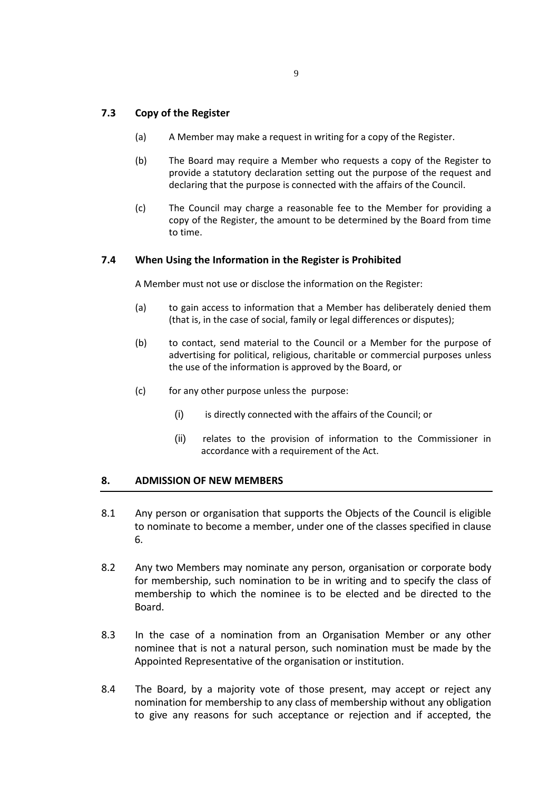# **7.3 Copy of the Register**

- (a) A Member may make a request in writing for a copy of the Register.
- (b) The Board may require a Member who requests a copy of the Register to provide a statutory declaration setting out the purpose of the request and declaring that the purpose is connected with the affairs of the Council.
- (c) The Council may charge a reasonable fee to the Member for providing a copy of the Register, the amount to be determined by the Board from time to time.

#### **7.4 When Using the Information in the Register is Prohibited**

A Member must not use or disclose the information on the Register:

- (a) to gain access to information that a Member has deliberately denied them (that is, in the case of social, family or legal differences or disputes);
- (b) to contact, send material to the Council or a Member for the purpose of advertising for political, religious, charitable or commercial purposes unless the use of the information is approved by the Board, or
- (c) for any other purpose unless the purpose:
	- (i) is directly connected with the affairs of the Council; or
	- (ii) relates to the provision of information to the Commissioner in accordance with a requirement of the Act.

#### **8. ADMISSION OF NEW MEMBERS**

- 8.1 Any person or organisation that supports the Objects of the Council is eligible to nominate to become a member, under one of the classes specified in clause 6.
- 8.2 Any two Members may nominate any person, organisation or corporate body for membership, such nomination to be in writing and to specify the class of membership to which the nominee is to be elected and be directed to the Board.
- 8.3 In the case of a nomination from an Organisation Member or any other nominee that is not a natural person, such nomination must be made by the Appointed Representative of the organisation or institution.
- 8.4 The Board, by a majority vote of those present, may accept or reject any nomination for membership to any class of membership without any obligation to give any reasons for such acceptance or rejection and if accepted, the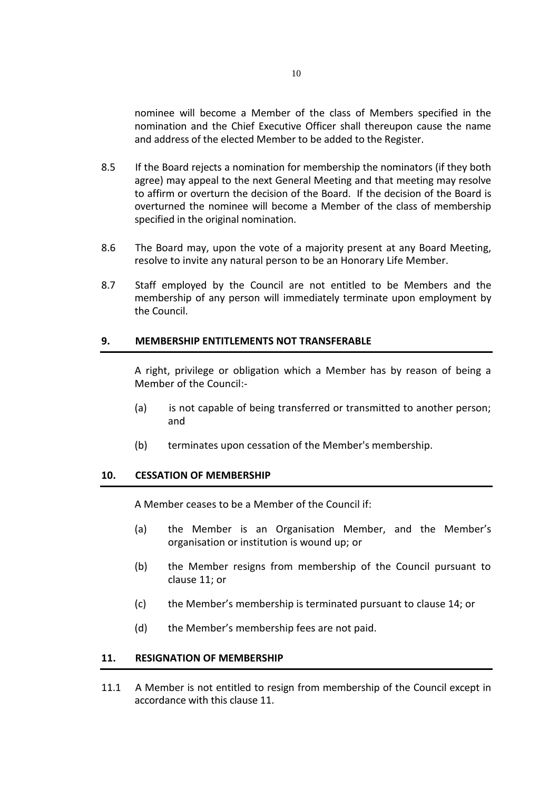nominee will become a Member of the class of Members specified in the nomination and the Chief Executive Officer shall thereupon cause the name and address of the elected Member to be added to the Register.

- 8.5 If the Board rejects a nomination for membership the nominators (if they both agree) may appeal to the next General Meeting and that meeting may resolve to affirm or overturn the decision of the Board. If the decision of the Board is overturned the nominee will become a Member of the class of membership specified in the original nomination.
- 8.6 The Board may, upon the vote of a majority present at any Board Meeting, resolve to invite any natural person to be an Honorary Life Member.
- 8.7 Staff employed by the Council are not entitled to be Members and the membership of any person will immediately terminate upon employment by the Council.

#### **9. MEMBERSHIP ENTITLEMENTS NOT TRANSFERABLE**

A right, privilege or obligation which a Member has by reason of being a Member of the Council:-

- (a) is not capable of being transferred or transmitted to another person; and
- (b) terminates upon cessation of the Member's membership.

#### **10. CESSATION OF MEMBERSHIP**

A Member ceases to be a Member of the Council if:

- (a) the Member is an Organisation Member, and the Member's organisation or institution is wound up; or
- (b) the Member resigns from membership of the Council pursuant to clause 11; or
- (c) the Member's membership is terminated pursuant to clause 14; or
- (d) the Member's membership fees are not paid.

#### **11. RESIGNATION OF MEMBERSHIP**

11.1 A Member is not entitled to resign from membership of the Council except in accordance with this clause 11.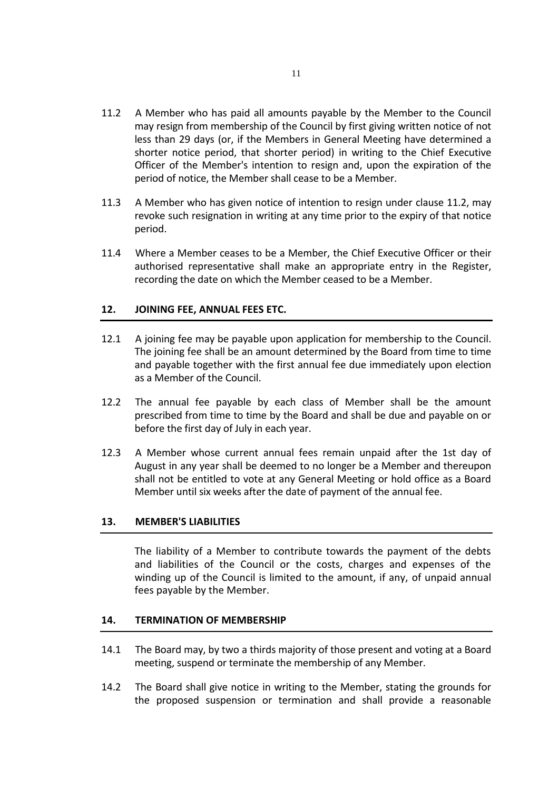- 11.2 A Member who has paid all amounts payable by the Member to the Council may resign from membership of the Council by first giving written notice of not less than 29 days (or, if the Members in General Meeting have determined a shorter notice period, that shorter period) in writing to the Chief Executive Officer of the Member's intention to resign and, upon the expiration of the period of notice, the Member shall cease to be a Member.
- 11.3 A Member who has given notice of intention to resign under clause 11.2, may revoke such resignation in writing at any time prior to the expiry of that notice period.
- 11.4 Where a Member ceases to be a Member, the Chief Executive Officer or their authorised representative shall make an appropriate entry in the Register, recording the date on which the Member ceased to be a Member.

# **12. JOINING FEE, ANNUAL FEES ETC.**

- 12.1 A joining fee may be payable upon application for membership to the Council. The joining fee shall be an amount determined by the Board from time to time and payable together with the first annual fee due immediately upon election as a Member of the Council.
- 12.2 The annual fee payable by each class of Member shall be the amount prescribed from time to time by the Board and shall be due and payable on or before the first day of July in each year.
- 12.3 A Member whose current annual fees remain unpaid after the 1st day of August in any year shall be deemed to no longer be a Member and thereupon shall not be entitled to vote at any General Meeting or hold office as a Board Member until six weeks after the date of payment of the annual fee.

#### **13. MEMBER'S LIABILITIES**

The liability of a Member to contribute towards the payment of the debts and liabilities of the Council or the costs, charges and expenses of the winding up of the Council is limited to the amount, if any, of unpaid annual fees payable by the Member.

#### **14. TERMINATION OF MEMBERSHIP**

- 14.1 The Board may, by two a thirds majority of those present and voting at a Board meeting, suspend or terminate the membership of any Member.
- 14.2 The Board shall give notice in writing to the Member, stating the grounds for the proposed suspension or termination and shall provide a reasonable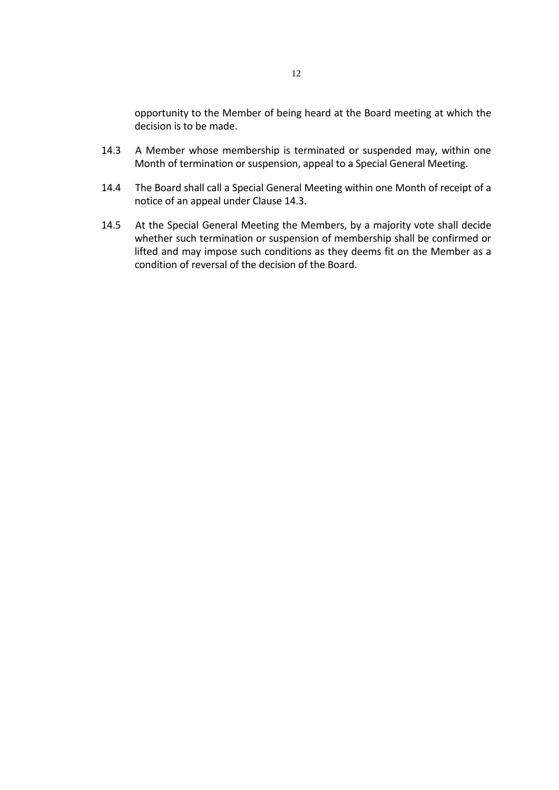opportunity to the Member of being heard at the Board meeting at which the decision is to be made.

- 14.3 A Member whose membership is terminated or suspended may, within one Month of termination or suspension, appeal to a Special General Meeting.
- 14.4 The Board shall call a Special General Meeting within one Month of receipt of a notice of an appeal under Clause 14.3.
- 14.5 At the Special General Meeting the Members, by a majority vote shall decide whether such termination or suspension of membership shall be confirmed or lifted and may impose such conditions as they deems fit on the Member as a condition of reversal of the decision of the Board.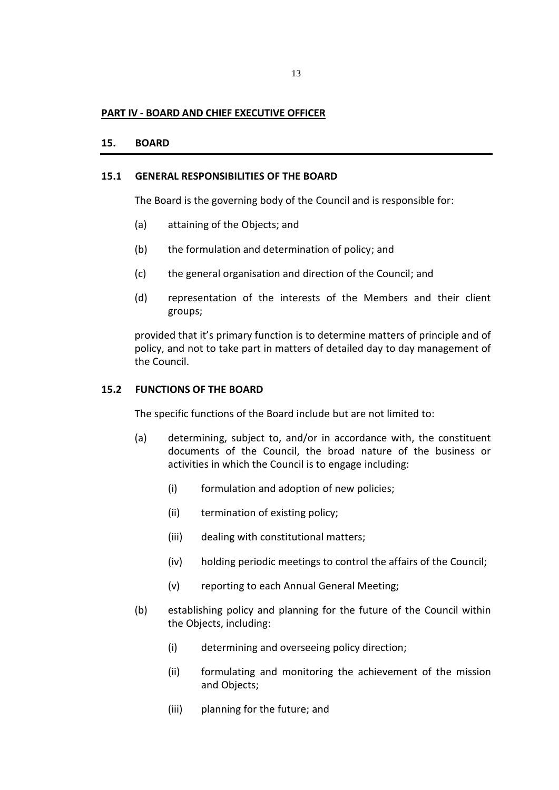#### **PART IV - BOARD AND CHIEF EXECUTIVE OFFICER**

#### **15. BOARD**

#### **15.1 GENERAL RESPONSIBILITIES OF THE BOARD**

The Board is the governing body of the Council and is responsible for:

- (a) attaining of the Objects; and
- (b) the formulation and determination of policy; and
- (c) the general organisation and direction of the Council; and
- (d) representation of the interests of the Members and their client groups;

provided that it's primary function is to determine matters of principle and of policy, and not to take part in matters of detailed day to day management of the Council.

#### **15.2 FUNCTIONS OF THE BOARD**

The specific functions of the Board include but are not limited to:

- (a) determining, subject to, and/or in accordance with, the constituent documents of the Council, the broad nature of the business or activities in which the Council is to engage including:
	- (i) formulation and adoption of new policies;
	- (ii) termination of existing policy;
	- (iii) dealing with constitutional matters;
	- (iv) holding periodic meetings to control the affairs of the Council;
	- (v) reporting to each Annual General Meeting;
- (b) establishing policy and planning for the future of the Council within the Objects, including:
	- (i) determining and overseeing policy direction;
	- (ii) formulating and monitoring the achievement of the mission and Objects;
	- (iii) planning for the future; and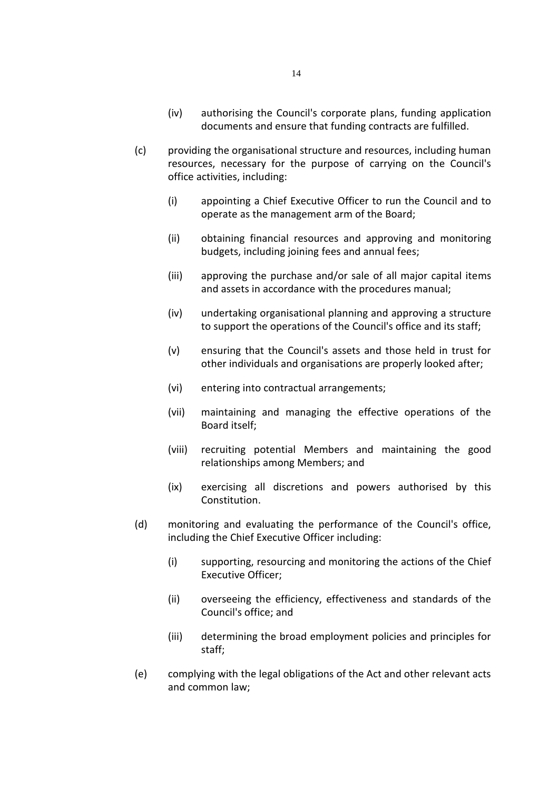- (iv) authorising the Council's corporate plans, funding application documents and ensure that funding contracts are fulfilled.
- (c) providing the organisational structure and resources, including human resources, necessary for the purpose of carrying on the Council's office activities, including:
	- (i) appointing a Chief Executive Officer to run the Council and to operate as the management arm of the Board;
	- (ii) obtaining financial resources and approving and monitoring budgets, including joining fees and annual fees;
	- (iii) approving the purchase and/or sale of all major capital items and assets in accordance with the procedures manual;
	- (iv) undertaking organisational planning and approving a structure to support the operations of the Council's office and its staff;
	- (v) ensuring that the Council's assets and those held in trust for other individuals and organisations are properly looked after;
	- (vi) entering into contractual arrangements;
	- (vii) maintaining and managing the effective operations of the Board itself;
	- (viii) recruiting potential Members and maintaining the good relationships among Members; and
	- (ix) exercising all discretions and powers authorised by this Constitution.
- (d) monitoring and evaluating the performance of the Council's office, including the Chief Executive Officer including:
	- (i) supporting, resourcing and monitoring the actions of the Chief Executive Officer;
	- (ii) overseeing the efficiency, effectiveness and standards of the Council's office; and
	- (iii) determining the broad employment policies and principles for staff;
- (e) complying with the legal obligations of the Act and other relevant acts and common law;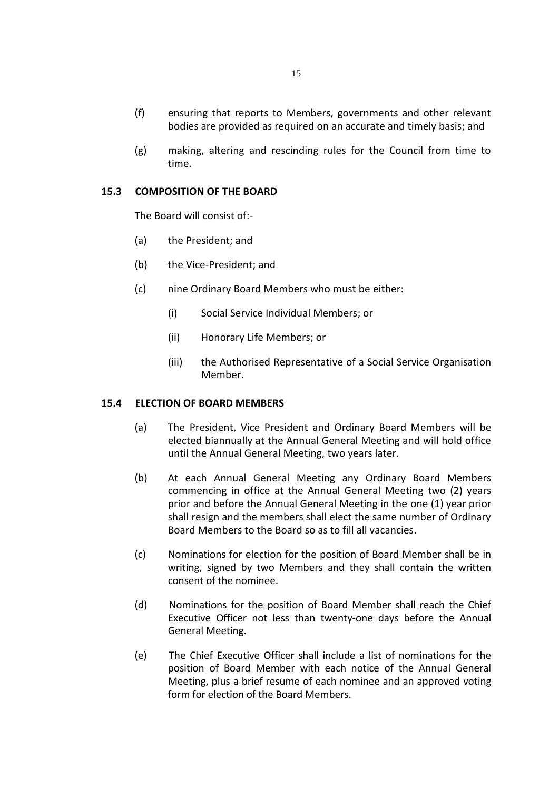- (f) ensuring that reports to Members, governments and other relevant bodies are provided as required on an accurate and timely basis; and
- (g) making, altering and rescinding rules for the Council from time to time.

# **15.3 COMPOSITION OF THE BOARD**

The Board will consist of:-

- (a) the President; and
- (b) the Vice-President; and
- (c) nine Ordinary Board Members who must be either:
	- (i) Social Service Individual Members; or
	- (ii) Honorary Life Members; or
	- (iii) the Authorised Representative of a Social Service Organisation Member.

#### **15.4 ELECTION OF BOARD MEMBERS**

- (a) The President, Vice President and Ordinary Board Members will be elected biannually at the Annual General Meeting and will hold office until the Annual General Meeting, two years later.
- (b) At each Annual General Meeting any Ordinary Board Members commencing in office at the Annual General Meeting two (2) years prior and before the Annual General Meeting in the one (1) year prior shall resign and the members shall elect the same number of Ordinary Board Members to the Board so as to fill all vacancies.
- (c) Nominations for election for the position of Board Member shall be in writing, signed by two Members and they shall contain the written consent of the nominee.
- (d) Nominations for the position of Board Member shall reach the Chief Executive Officer not less than twenty-one days before the Annual General Meeting.
- (e) The Chief Executive Officer shall include a list of nominations for the position of Board Member with each notice of the Annual General Meeting, plus a brief resume of each nominee and an approved voting form for election of the Board Members.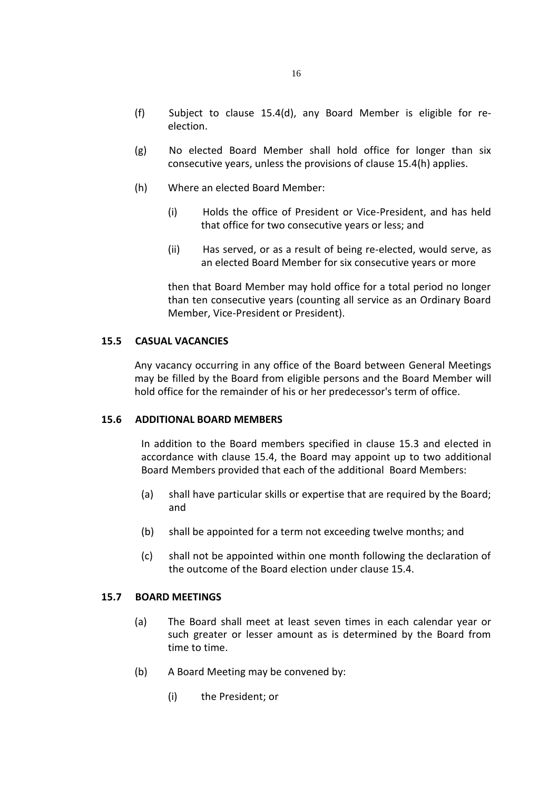- (f) Subject to clause 15.4(d), any Board Member is eligible for reelection.
- (g) No elected Board Member shall hold office for longer than six consecutive years, unless the provisions of clause 15.4(h) applies.
- (h) Where an elected Board Member:
	- (i) Holds the office of President or Vice-President, and has held that office for two consecutive years or less; and
	- (ii) Has served, or as a result of being re-elected, would serve, as an elected Board Member for six consecutive years or more

then that Board Member may hold office for a total period no longer than ten consecutive years (counting all service as an Ordinary Board Member, Vice-President or President).

#### **15.5 CASUAL VACANCIES**

Any vacancy occurring in any office of the Board between General Meetings may be filled by the Board from eligible persons and the Board Member will hold office for the remainder of his or her predecessor's term of office.

#### **15.6 ADDITIONAL BOARD MEMBERS**

In addition to the Board members specified in clause 15.3 and elected in accordance with clause 15.4, the Board may appoint up to two additional Board Members provided that each of the additional Board Members:

- (a) shall have particular skills or expertise that are required by the Board; and
- (b) shall be appointed for a term not exceeding twelve months; and
- (c) shall not be appointed within one month following the declaration of the outcome of the Board election under clause 15.4.

#### **15.7 BOARD MEETINGS**

- (a) The Board shall meet at least seven times in each calendar year or such greater or lesser amount as is determined by the Board from time to time.
- (b) A Board Meeting may be convened by:
	- (i) the President; or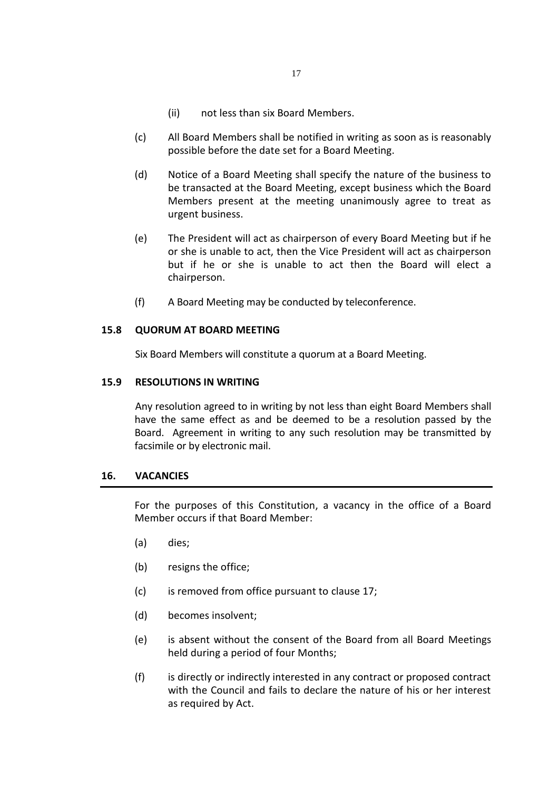- (ii) not less than six Board Members.
- (c) All Board Members shall be notified in writing as soon as is reasonably possible before the date set for a Board Meeting.
- (d) Notice of a Board Meeting shall specify the nature of the business to be transacted at the Board Meeting, except business which the Board Members present at the meeting unanimously agree to treat as urgent business.
- (e) The President will act as chairperson of every Board Meeting but if he or she is unable to act, then the Vice President will act as chairperson but if he or she is unable to act then the Board will elect a chairperson.
- (f) A Board Meeting may be conducted by teleconference.

#### **15.8 QUORUM AT BOARD MEETING**

Six Board Members will constitute a quorum at a Board Meeting.

#### **15.9 RESOLUTIONS IN WRITING**

Any resolution agreed to in writing by not less than eight Board Members shall have the same effect as and be deemed to be a resolution passed by the Board. Agreement in writing to any such resolution may be transmitted by facsimile or by electronic mail.

# **16. VACANCIES**

For the purposes of this Constitution, a vacancy in the office of a Board Member occurs if that Board Member:

- (a) dies;
- (b) resigns the office;
- (c) is removed from office pursuant to clause 17;
- (d) becomes insolvent;
- (e) is absent without the consent of the Board from all Board Meetings held during a period of four Months;
- (f) is directly or indirectly interested in any contract or proposed contract with the Council and fails to declare the nature of his or her interest as required by Act.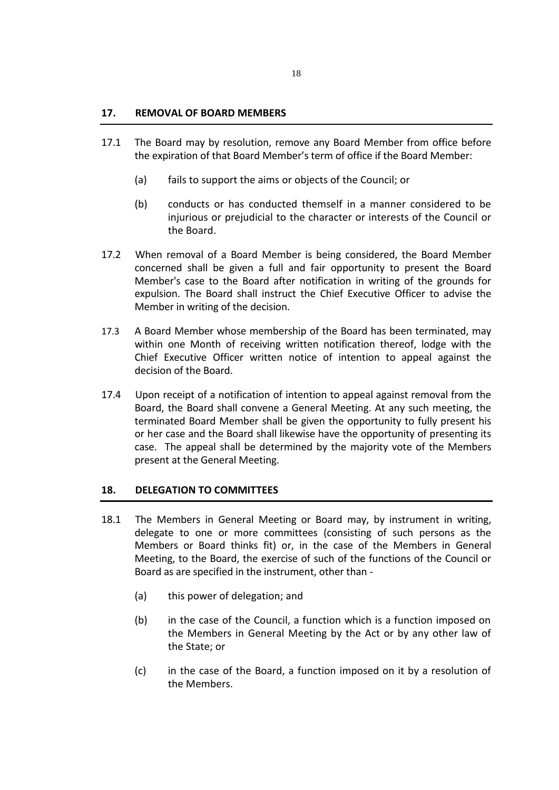- 17.1 The Board may by resolution, remove any Board Member from office before the expiration of that Board Member's term of office if the Board Member:
	- (a) fails to support the aims or objects of the Council; or
	- (b) conducts or has conducted themself in a manner considered to be injurious or prejudicial to the character or interests of the Council or the Board.
- 17.2 When removal of a Board Member is being considered, the Board Member concerned shall be given a full and fair opportunity to present the Board Member's case to the Board after notification in writing of the grounds for expulsion. The Board shall instruct the Chief Executive Officer to advise the Member in writing of the decision.
- 17.3 A Board Member whose membership of the Board has been terminated, may within one Month of receiving written notification thereof, lodge with the Chief Executive Officer written notice of intention to appeal against the decision of the Board.
- 17.4 Upon receipt of a notification of intention to appeal against removal from the Board, the Board shall convene a General Meeting. At any such meeting, the terminated Board Member shall be given the opportunity to fully present his or her case and the Board shall likewise have the opportunity of presenting its case. The appeal shall be determined by the majority vote of the Members present at the General Meeting.

# **18. DELEGATION TO COMMITTEES**

- 18.1 The Members in General Meeting or Board may, by instrument in writing, delegate to one or more committees (consisting of such persons as the Members or Board thinks fit) or, in the case of the Members in General Meeting, to the Board, the exercise of such of the functions of the Council or Board as are specified in the instrument, other than -
	- (a) this power of delegation; and
	- (b) in the case of the Council, a function which is a function imposed on the Members in General Meeting by the Act or by any other law of the State; or
	- (c) in the case of the Board, a function imposed on it by a resolution of the Members.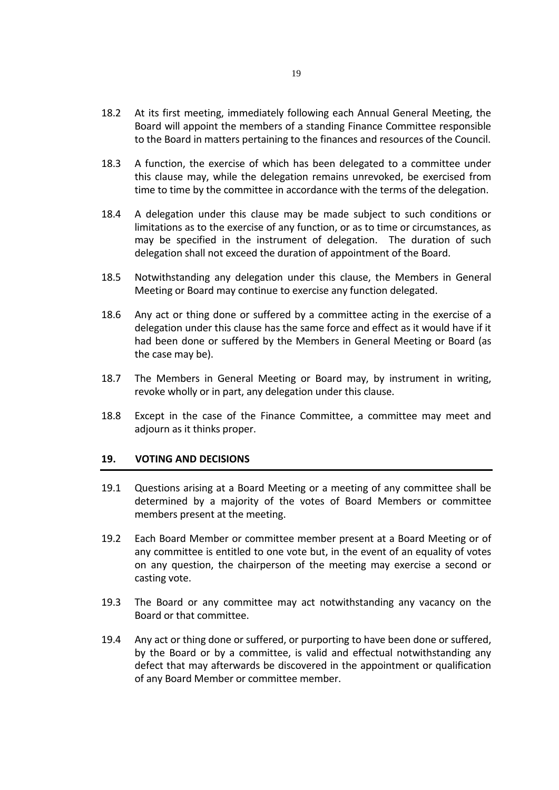- 18.2 At its first meeting, immediately following each Annual General Meeting, the Board will appoint the members of a standing Finance Committee responsible to the Board in matters pertaining to the finances and resources of the Council.
- 18.3 A function, the exercise of which has been delegated to a committee under this clause may, while the delegation remains unrevoked, be exercised from time to time by the committee in accordance with the terms of the delegation.
- 18.4 A delegation under this clause may be made subject to such conditions or limitations as to the exercise of any function, or as to time or circumstances, as may be specified in the instrument of delegation. The duration of such delegation shall not exceed the duration of appointment of the Board.
- 18.5 Notwithstanding any delegation under this clause, the Members in General Meeting or Board may continue to exercise any function delegated.
- 18.6 Any act or thing done or suffered by a committee acting in the exercise of a delegation under this clause has the same force and effect as it would have if it had been done or suffered by the Members in General Meeting or Board (as the case may be).
- 18.7 The Members in General Meeting or Board may, by instrument in writing, revoke wholly or in part, any delegation under this clause.
- 18.8 Except in the case of the Finance Committee, a committee may meet and adjourn as it thinks proper.

#### **19. VOTING AND DECISIONS**

- 19.1 Questions arising at a Board Meeting or a meeting of any committee shall be determined by a majority of the votes of Board Members or committee members present at the meeting.
- 19.2 Each Board Member or committee member present at a Board Meeting or of any committee is entitled to one vote but, in the event of an equality of votes on any question, the chairperson of the meeting may exercise a second or casting vote.
- 19.3 The Board or any committee may act notwithstanding any vacancy on the Board or that committee.
- 19.4 Any act or thing done or suffered, or purporting to have been done or suffered, by the Board or by a committee, is valid and effectual notwithstanding any defect that may afterwards be discovered in the appointment or qualification of any Board Member or committee member.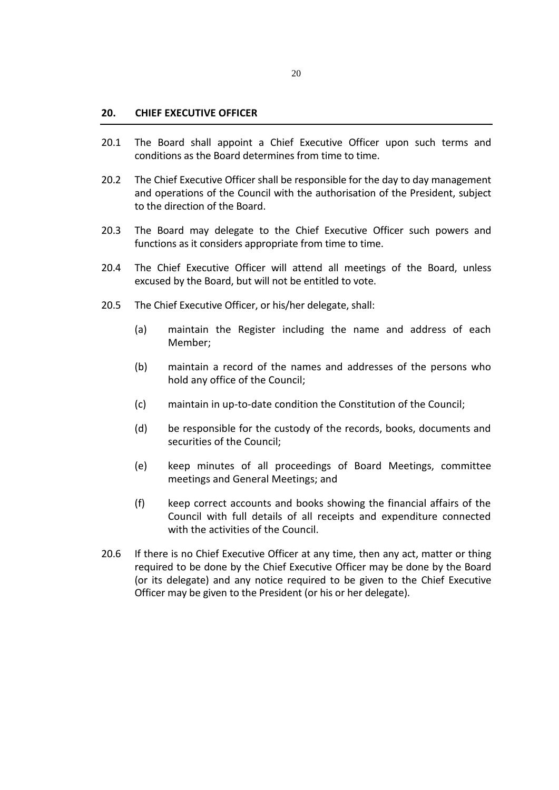#### **20. CHIEF EXECUTIVE OFFICER**

- 20.1 The Board shall appoint a Chief Executive Officer upon such terms and conditions as the Board determines from time to time.
- 20.2 The Chief Executive Officer shall be responsible for the day to day management and operations of the Council with the authorisation of the President, subject to the direction of the Board.
- 20.3 The Board may delegate to the Chief Executive Officer such powers and functions as it considers appropriate from time to time.
- 20.4 The Chief Executive Officer will attend all meetings of the Board, unless excused by the Board, but will not be entitled to vote.
- 20.5 The Chief Executive Officer, or his/her delegate, shall:
	- (a) maintain the Register including the name and address of each Member;
	- (b) maintain a record of the names and addresses of the persons who hold any office of the Council;
	- (c) maintain in up-to-date condition the Constitution of the Council;
	- (d) be responsible for the custody of the records, books, documents and securities of the Council;
	- (e) keep minutes of all proceedings of Board Meetings, committee meetings and General Meetings; and
	- (f) keep correct accounts and books showing the financial affairs of the Council with full details of all receipts and expenditure connected with the activities of the Council.
- 20.6 If there is no Chief Executive Officer at any time, then any act, matter or thing required to be done by the Chief Executive Officer may be done by the Board (or its delegate) and any notice required to be given to the Chief Executive Officer may be given to the President (or his or her delegate).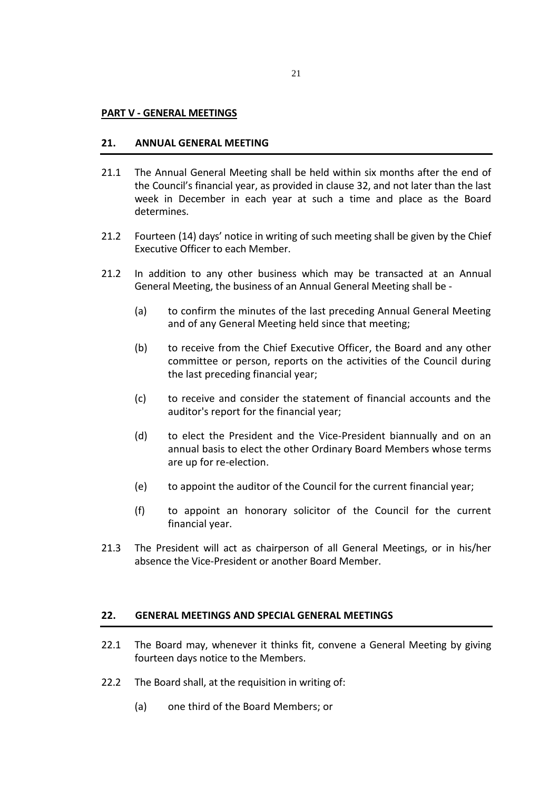#### **PART V - GENERAL MEETINGS**

#### **21. ANNUAL GENERAL MEETING**

- 21.1 The Annual General Meeting shall be held within six months after the end of the Council's financial year, as provided in clause 32, and not later than the last week in December in each year at such a time and place as the Board determines.
- 21.2 Fourteen (14) days' notice in writing of such meeting shall be given by the Chief Executive Officer to each Member.
- 21.2 In addition to any other business which may be transacted at an Annual General Meeting, the business of an Annual General Meeting shall be -
	- (a) to confirm the minutes of the last preceding Annual General Meeting and of any General Meeting held since that meeting;
	- (b) to receive from the Chief Executive Officer, the Board and any other committee or person, reports on the activities of the Council during the last preceding financial year;
	- (c) to receive and consider the statement of financial accounts and the auditor's report for the financial year;
	- (d) to elect the President and the Vice-President biannually and on an annual basis to elect the other Ordinary Board Members whose terms are up for re-election.
	- (e) to appoint the auditor of the Council for the current financial year;
	- (f) to appoint an honorary solicitor of the Council for the current financial year.
- 21.3 The President will act as chairperson of all General Meetings, or in his/her absence the Vice-President or another Board Member.

# **22. GENERAL MEETINGS AND SPECIAL GENERAL MEETINGS**

- 22.1 The Board may, whenever it thinks fit, convene a General Meeting by giving fourteen days notice to the Members.
- 22.2 The Board shall, at the requisition in writing of:
	- (a) one third of the Board Members; or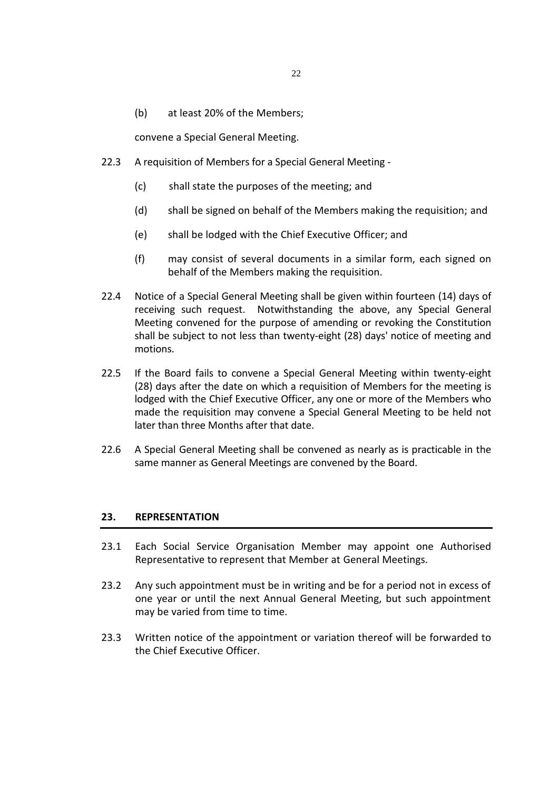(b) at least 20% of the Members;

convene a Special General Meeting.

- 22.3 A requisition of Members for a Special General Meeting
	- (c) shall state the purposes of the meeting; and
	- (d) shall be signed on behalf of the Members making the requisition; and
	- (e) shall be lodged with the Chief Executive Officer; and
	- (f) may consist of several documents in a similar form, each signed on behalf of the Members making the requisition.
- 22.4 Notice of a Special General Meeting shall be given within fourteen (14) days of receiving such request. Notwithstanding the above, any Special General Meeting convened for the purpose of amending or revoking the Constitution shall be subject to not less than twenty-eight (28) days' notice of meeting and motions.
- 22.5 If the Board fails to convene a Special General Meeting within twenty-eight (28) days after the date on which a requisition of Members for the meeting is lodged with the Chief Executive Officer, any one or more of the Members who made the requisition may convene a Special General Meeting to be held not later than three Months after that date.
- 22.6 A Special General Meeting shall be convened as nearly as is practicable in the same manner as General Meetings are convened by the Board.

#### **23. REPRESENTATION**

- 23.1 Each Social Service Organisation Member may appoint one Authorised Representative to represent that Member at General Meetings.
- 23.2 Any such appointment must be in writing and be for a period not in excess of one year or until the next Annual General Meeting, but such appointment may be varied from time to time.
- 23.3 Written notice of the appointment or variation thereof will be forwarded to the Chief Executive Officer.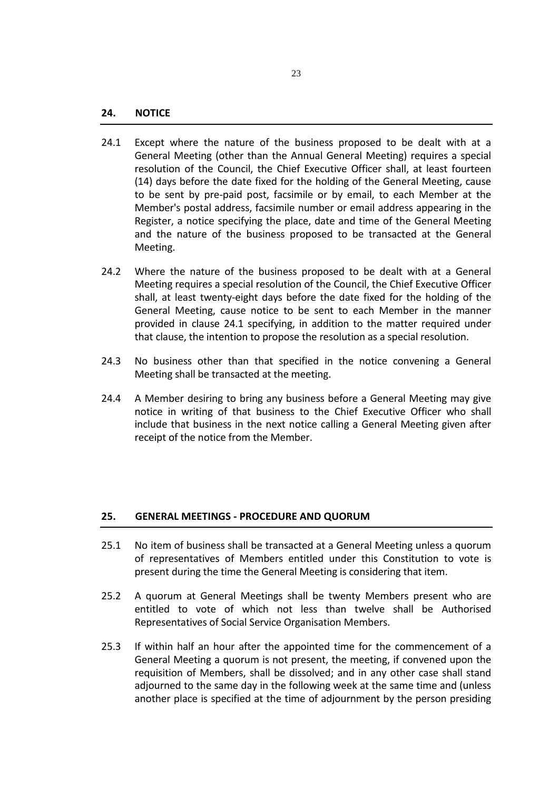- 24.1 Except where the nature of the business proposed to be dealt with at a General Meeting (other than the Annual General Meeting) requires a special resolution of the Council, the Chief Executive Officer shall, at least fourteen (14) days before the date fixed for the holding of the General Meeting, cause to be sent by pre-paid post, facsimile or by email, to each Member at the Member's postal address, facsimile number or email address appearing in the Register, a notice specifying the place, date and time of the General Meeting and the nature of the business proposed to be transacted at the General Meeting.
- 24.2 Where the nature of the business proposed to be dealt with at a General Meeting requires a special resolution of the Council, the Chief Executive Officer shall, at least twenty-eight days before the date fixed for the holding of the General Meeting, cause notice to be sent to each Member in the manner provided in clause 24.1 specifying, in addition to the matter required under that clause, the intention to propose the resolution as a special resolution.
- 24.3 No business other than that specified in the notice convening a General Meeting shall be transacted at the meeting.
- 24.4 A Member desiring to bring any business before a General Meeting may give notice in writing of that business to the Chief Executive Officer who shall include that business in the next notice calling a General Meeting given after receipt of the notice from the Member.

#### **25. GENERAL MEETINGS - PROCEDURE AND QUORUM**

- 25.1 No item of business shall be transacted at a General Meeting unless a quorum of representatives of Members entitled under this Constitution to vote is present during the time the General Meeting is considering that item.
- 25.2 A quorum at General Meetings shall be twenty Members present who are entitled to vote of which not less than twelve shall be Authorised Representatives of Social Service Organisation Members.
- 25.3 If within half an hour after the appointed time for the commencement of a General Meeting a quorum is not present, the meeting, if convened upon the requisition of Members, shall be dissolved; and in any other case shall stand adjourned to the same day in the following week at the same time and (unless another place is specified at the time of adjournment by the person presiding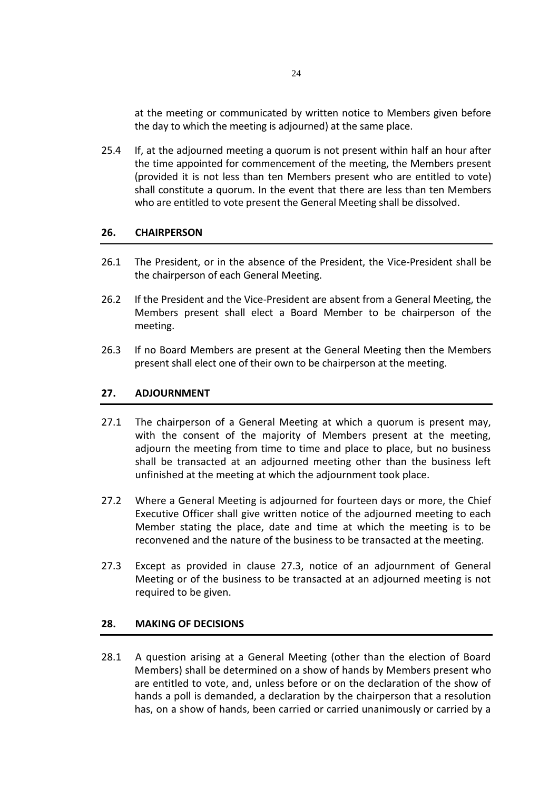at the meeting or communicated by written notice to Members given before the day to which the meeting is adjourned) at the same place.

25.4 If, at the adjourned meeting a quorum is not present within half an hour after the time appointed for commencement of the meeting, the Members present (provided it is not less than ten Members present who are entitled to vote) shall constitute a quorum. In the event that there are less than ten Members who are entitled to vote present the General Meeting shall be dissolved.

# **26. CHAIRPERSON**

- 26.1 The President, or in the absence of the President, the Vice-President shall be the chairperson of each General Meeting.
- 26.2 If the President and the Vice-President are absent from a General Meeting, the Members present shall elect a Board Member to be chairperson of the meeting.
- 26.3 If no Board Members are present at the General Meeting then the Members present shall elect one of their own to be chairperson at the meeting.

# **27. ADJOURNMENT**

- 27.1 The chairperson of a General Meeting at which a quorum is present may, with the consent of the majority of Members present at the meeting, adjourn the meeting from time to time and place to place, but no business shall be transacted at an adjourned meeting other than the business left unfinished at the meeting at which the adjournment took place.
- 27.2 Where a General Meeting is adjourned for fourteen days or more, the Chief Executive Officer shall give written notice of the adjourned meeting to each Member stating the place, date and time at which the meeting is to be reconvened and the nature of the business to be transacted at the meeting.
- 27.3 Except as provided in clause 27.3, notice of an adjournment of General Meeting or of the business to be transacted at an adjourned meeting is not required to be given.

#### **28. MAKING OF DECISIONS**

28.1 A question arising at a General Meeting (other than the election of Board Members) shall be determined on a show of hands by Members present who are entitled to vote, and, unless before or on the declaration of the show of hands a poll is demanded, a declaration by the chairperson that a resolution has, on a show of hands, been carried or carried unanimously or carried by a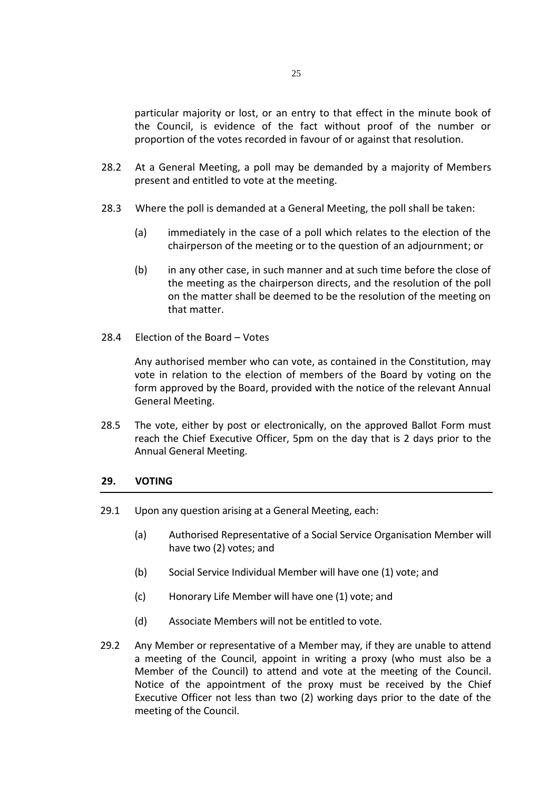particular majority or lost, or an entry to that effect in the minute book of the Council, is evidence of the fact without proof of the number or proportion of the votes recorded in favour of or against that resolution.

- 28.2 At a General Meeting, a poll may be demanded by a majority of Members present and entitled to vote at the meeting.
- 28.3 Where the poll is demanded at a General Meeting, the poll shall be taken:
	- (a) immediately in the case of a poll which relates to the election of the chairperson of the meeting or to the question of an adjournment; or
	- (b) in any other case, in such manner and at such time before the close of the meeting as the chairperson directs, and the resolution of the poll on the matter shall be deemed to be the resolution of the meeting on that matter.
- 28.4 Election of the Board Votes

Any authorised member who can vote, as contained in the Constitution, may vote in relation to the election of members of the Board by voting on the form approved by the Board, provided with the notice of the relevant Annual General Meeting.

28.5 The vote, either by post or electronically, on the approved Ballot Form must reach the Chief Executive Officer, 5pm on the day that is 2 days prior to the Annual General Meeting.

#### **29. VOTING**

- 29.1 Upon any question arising at a General Meeting, each:
	- (a) Authorised Representative of a Social Service Organisation Member will have two (2) votes; and
	- (b) Social Service Individual Member will have one (1) vote; and
	- (c) Honorary Life Member will have one (1) vote; and
	- (d) Associate Members will not be entitled to vote.
- 29.2 Any Member or representative of a Member may, if they are unable to attend a meeting of the Council, appoint in writing a proxy (who must also be a Member of the Council) to attend and vote at the meeting of the Council. Notice of the appointment of the proxy must be received by the Chief Executive Officer not less than two (2) working days prior to the date of the meeting of the Council.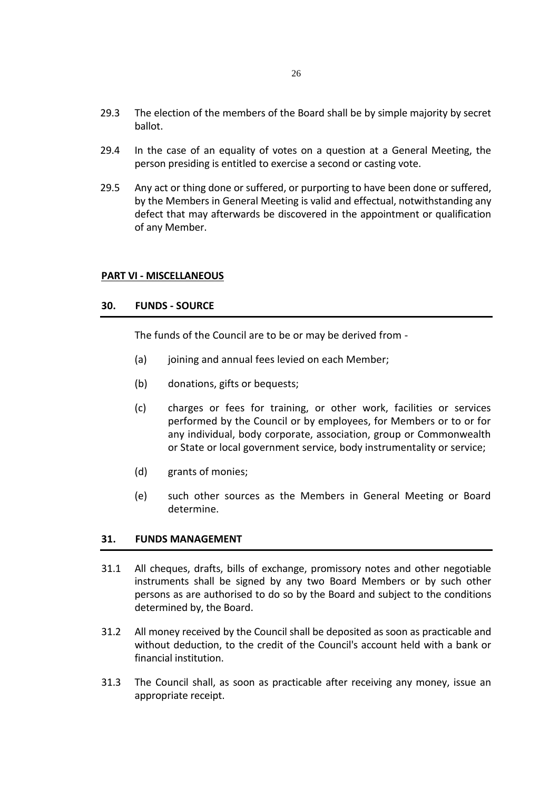- 29.3 The election of the members of the Board shall be by simple majority by secret ballot.
- 29.4 In the case of an equality of votes on a question at a General Meeting, the person presiding is entitled to exercise a second or casting vote.
- 29.5 Any act or thing done or suffered, or purporting to have been done or suffered, by the Members in General Meeting is valid and effectual, notwithstanding any defect that may afterwards be discovered in the appointment or qualification of any Member.

#### **PART VI - MISCELLANEOUS**

#### **30. FUNDS - SOURCE**

The funds of the Council are to be or may be derived from -

- (a) joining and annual fees levied on each Member;
- (b) donations, gifts or bequests;
- (c) charges or fees for training, or other work, facilities or services performed by the Council or by employees, for Members or to or for any individual, body corporate, association, group or Commonwealth or State or local government service, body instrumentality or service;
- (d) grants of monies;
- (e) such other sources as the Members in General Meeting or Board determine.

# **31. FUNDS MANAGEMENT**

- 31.1 All cheques, drafts, bills of exchange, promissory notes and other negotiable instruments shall be signed by any two Board Members or by such other persons as are authorised to do so by the Board and subject to the conditions determined by, the Board.
- 31.2 All money received by the Council shall be deposited as soon as practicable and without deduction, to the credit of the Council's account held with a bank or financial institution.
- 31.3 The Council shall, as soon as practicable after receiving any money, issue an appropriate receipt.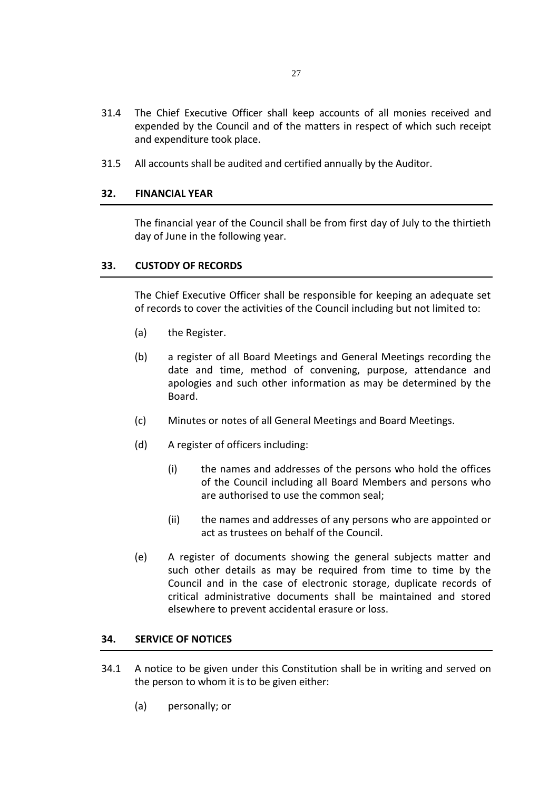- 31.4 The Chief Executive Officer shall keep accounts of all monies received and expended by the Council and of the matters in respect of which such receipt and expenditure took place.
- 31.5 All accounts shall be audited and certified annually by the Auditor.

# **32. FINANCIAL YEAR**

The financial year of the Council shall be from first day of July to the thirtieth day of June in the following year.

# **33. CUSTODY OF RECORDS**

The Chief Executive Officer shall be responsible for keeping an adequate set of records to cover the activities of the Council including but not limited to:

- (a) the Register.
- (b) a register of all Board Meetings and General Meetings recording the date and time, method of convening, purpose, attendance and apologies and such other information as may be determined by the Board.
- (c) Minutes or notes of all General Meetings and Board Meetings.
- (d) A register of officers including:
	- (i) the names and addresses of the persons who hold the offices of the Council including all Board Members and persons who are authorised to use the common seal;
	- (ii) the names and addresses of any persons who are appointed or act as trustees on behalf of the Council.
- (e) A register of documents showing the general subjects matter and such other details as may be required from time to time by the Council and in the case of electronic storage, duplicate records of critical administrative documents shall be maintained and stored elsewhere to prevent accidental erasure or loss.

#### **34. SERVICE OF NOTICES**

- 34.1 A notice to be given under this Constitution shall be in writing and served on the person to whom it is to be given either:
	- (a) personally; or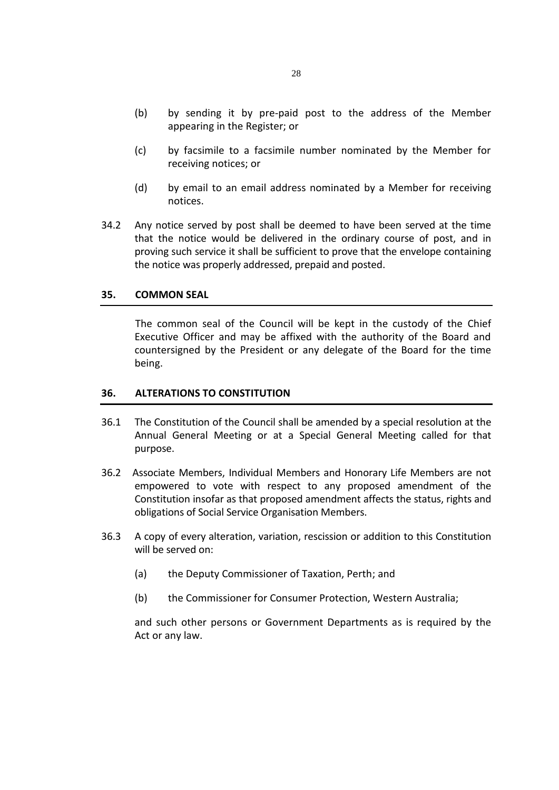- (b) by sending it by pre-paid post to the address of the Member appearing in the Register; or
- (c) by facsimile to a facsimile number nominated by the Member for receiving notices; or
- (d) by email to an email address nominated by a Member for receiving notices.
- 34.2 Any notice served by post shall be deemed to have been served at the time that the notice would be delivered in the ordinary course of post, and in proving such service it shall be sufficient to prove that the envelope containing the notice was properly addressed, prepaid and posted.

#### **35. COMMON SEAL**

The common seal of the Council will be kept in the custody of the Chief Executive Officer and may be affixed with the authority of the Board and countersigned by the President or any delegate of the Board for the time being.

#### **36. ALTERATIONS TO CONSTITUTION**

- 36.1 The Constitution of the Council shall be amended by a special resolution at the Annual General Meeting or at a Special General Meeting called for that purpose.
- 36.2 Associate Members, Individual Members and Honorary Life Members are not empowered to vote with respect to any proposed amendment of the Constitution insofar as that proposed amendment affects the status, rights and obligations of Social Service Organisation Members.
- 36.3 A copy of every alteration, variation, rescission or addition to this Constitution will be served on:
	- (a) the Deputy Commissioner of Taxation, Perth; and
	- (b) the Commissioner for Consumer Protection, Western Australia;

and such other persons or Government Departments as is required by the Act or any law.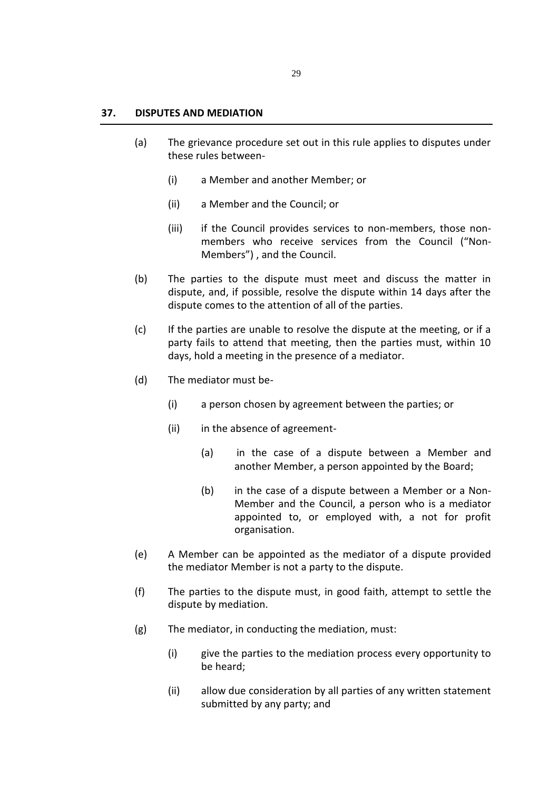#### **37. DISPUTES AND MEDIATION**

- (a) The grievance procedure set out in this rule applies to disputes under these rules between-
	- (i) a Member and another Member; or
	- (ii) a Member and the Council; or
	- (iii) if the Council provides services to non-members, those nonmembers who receive services from the Council ("Non-Members") , and the Council.
- (b) The parties to the dispute must meet and discuss the matter in dispute, and, if possible, resolve the dispute within 14 days after the dispute comes to the attention of all of the parties.
- (c) If the parties are unable to resolve the dispute at the meeting, or if a party fails to attend that meeting, then the parties must, within 10 days, hold a meeting in the presence of a mediator.
- (d) The mediator must be-
	- (i) a person chosen by agreement between the parties; or
	- (ii) in the absence of agreement-
		- (a) in the case of a dispute between a Member and another Member, a person appointed by the Board;
		- (b) in the case of a dispute between a Member or a Non-Member and the Council, a person who is a mediator appointed to, or employed with, a not for profit organisation.
- (e) A Member can be appointed as the mediator of a dispute provided the mediator Member is not a party to the dispute.
- (f) The parties to the dispute must, in good faith, attempt to settle the dispute by mediation.
- (g) The mediator, in conducting the mediation, must:
	- (i) give the parties to the mediation process every opportunity to be heard;
	- (ii) allow due consideration by all parties of any written statement submitted by any party; and